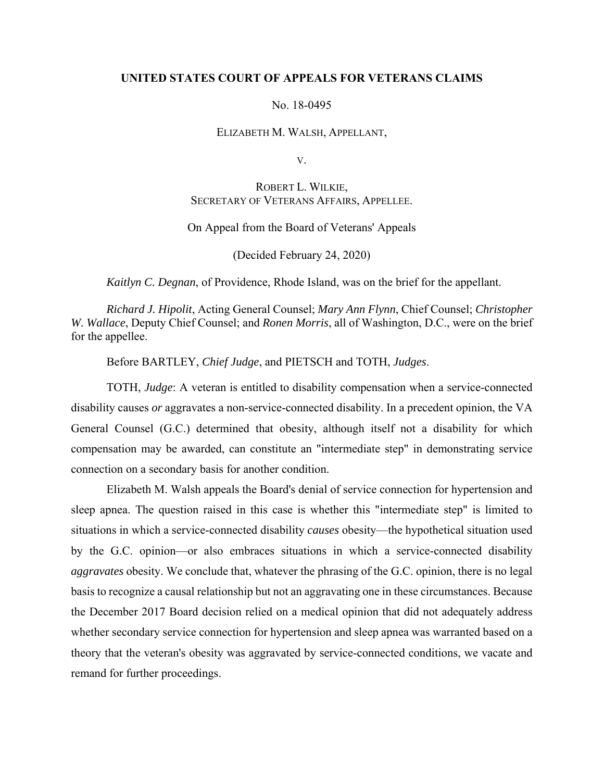### **UNITED STATES COURT OF APPEALS FOR VETERANS CLAIMS**

#### No. 18-0495

#### ELIZABETH M. WALSH, APPELLANT,

V.

# ROBERT L. WILKIE, SECRETARY OF VETERANS AFFAIRS, APPELLEE.

## On Appeal from the Board of Veterans' Appeals

(Decided February 24, 2020)

*Kaitlyn C. Degnan*, of Providence, Rhode Island, was on the brief for the appellant.

*Richard J. Hipolit*, Acting General Counsel; *Mary Ann Flynn*, Chief Counsel; *Christopher W. Wallace*, Deputy Chief Counsel; and *Ronen Morris*, all of Washington, D.C., were on the brief for the appellee.

Before BARTLEY, *Chief Judge*, and PIETSCH and TOTH, *Judges*.

TOTH, *Judge*: A veteran is entitled to disability compensation when a service-connected disability causes *or* aggravates a non-service-connected disability. In a precedent opinion, the VA General Counsel (G.C.) determined that obesity, although itself not a disability for which compensation may be awarded, can constitute an "intermediate step" in demonstrating service connection on a secondary basis for another condition.

Elizabeth M. Walsh appeals the Board's denial of service connection for hypertension and sleep apnea. The question raised in this case is whether this "intermediate step" is limited to situations in which a service-connected disability *causes* obesity—the hypothetical situation used by the G.C. opinion—or also embraces situations in which a service-connected disability *aggravates* obesity. We conclude that, whatever the phrasing of the G.C. opinion, there is no legal basis to recognize a causal relationship but not an aggravating one in these circumstances. Because the December 2017 Board decision relied on a medical opinion that did not adequately address whether secondary service connection for hypertension and sleep apnea was warranted based on a theory that the veteran's obesity was aggravated by service-connected conditions, we vacate and remand for further proceedings.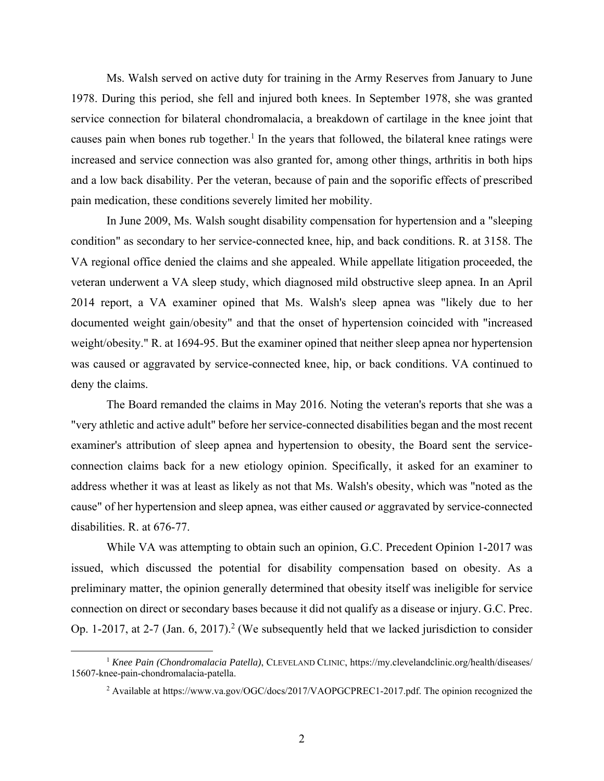Ms. Walsh served on active duty for training in the Army Reserves from January to June 1978. During this period, she fell and injured both knees. In September 1978, she was granted service connection for bilateral chondromalacia, a breakdown of cartilage in the knee joint that causes pain when bones rub together.<sup>1</sup> In the years that followed, the bilateral knee ratings were increased and service connection was also granted for, among other things, arthritis in both hips and a low back disability. Per the veteran, because of pain and the soporific effects of prescribed pain medication, these conditions severely limited her mobility.

 In June 2009, Ms. Walsh sought disability compensation for hypertension and a "sleeping condition" as secondary to her service-connected knee, hip, and back conditions. R. at 3158. The VA regional office denied the claims and she appealed. While appellate litigation proceeded, the veteran underwent a VA sleep study, which diagnosed mild obstructive sleep apnea. In an April 2014 report, a VA examiner opined that Ms. Walsh's sleep apnea was "likely due to her documented weight gain/obesity" and that the onset of hypertension coincided with "increased weight/obesity." R. at 1694-95. But the examiner opined that neither sleep apnea nor hypertension was caused or aggravated by service-connected knee, hip, or back conditions. VA continued to deny the claims.

 The Board remanded the claims in May 2016. Noting the veteran's reports that she was a "very athletic and active adult" before her service-connected disabilities began and the most recent examiner's attribution of sleep apnea and hypertension to obesity, the Board sent the serviceconnection claims back for a new etiology opinion. Specifically, it asked for an examiner to address whether it was at least as likely as not that Ms. Walsh's obesity, which was "noted as the cause" of her hypertension and sleep apnea, was either caused *or* aggravated by service-connected disabilities. R. at 676-77.

 While VA was attempting to obtain such an opinion, G.C. Precedent Opinion 1-2017 was issued, which discussed the potential for disability compensation based on obesity. As a preliminary matter, the opinion generally determined that obesity itself was ineligible for service connection on direct or secondary bases because it did not qualify as a disease or injury. G.C. Prec. Op. 1-2017, at 2-7 (Jan. 6, 2017).<sup>2</sup> (We subsequently held that we lacked jurisdiction to consider

<sup>&</sup>lt;sup>1</sup> Knee Pain (Chondromalacia Patella), CLEVELAND CLINIC, https://my.clevelandclinic.org/health/diseases/ 15607-knee-pain-chondromalacia-patella.

<sup>&</sup>lt;sup>2</sup> Available at https://www.va.gov/OGC/docs/2017/VAOPGCPREC1-2017.pdf. The opinion recognized the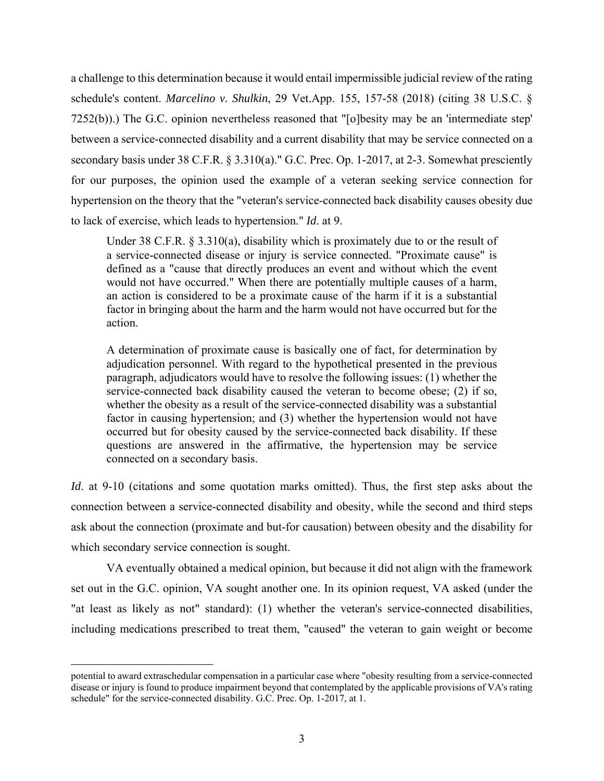a challenge to this determination because it would entail impermissible judicial review of the rating schedule's content. *Marcelino v. Shulkin*, 29 Vet.App. 155, 157-58 (2018) (citing 38 U.S.C. § 7252(b)).) The G.C. opinion nevertheless reasoned that "[o]besity may be an 'intermediate step' between a service-connected disability and a current disability that may be service connected on a secondary basis under 38 C.F.R. § 3.310(a)." G.C. Prec. Op. 1-2017, at 2-3. Somewhat presciently for our purposes, the opinion used the example of a veteran seeking service connection for hypertension on the theory that the "veteran's service-connected back disability causes obesity due to lack of exercise, which leads to hypertension." *Id*. at 9.

Under 38 C.F.R. § 3.310(a), disability which is proximately due to or the result of a service-connected disease or injury is service connected. "Proximate cause" is defined as a "cause that directly produces an event and without which the event would not have occurred." When there are potentially multiple causes of a harm, an action is considered to be a proximate cause of the harm if it is a substantial factor in bringing about the harm and the harm would not have occurred but for the action.

A determination of proximate cause is basically one of fact, for determination by adjudication personnel. With regard to the hypothetical presented in the previous paragraph, adjudicators would have to resolve the following issues: (1) whether the service-connected back disability caused the veteran to become obese; (2) if so, whether the obesity as a result of the service-connected disability was a substantial factor in causing hypertension; and (3) whether the hypertension would not have occurred but for obesity caused by the service-connected back disability. If these questions are answered in the affirmative, the hypertension may be service connected on a secondary basis.

*Id.* at 9-10 (citations and some quotation marks omitted). Thus, the first step asks about the connection between a service-connected disability and obesity, while the second and third steps ask about the connection (proximate and but-for causation) between obesity and the disability for which secondary service connection is sought.

 VA eventually obtained a medical opinion, but because it did not align with the framework set out in the G.C. opinion, VA sought another one. In its opinion request, VA asked (under the "at least as likely as not" standard): (1) whether the veteran's service-connected disabilities, including medications prescribed to treat them, "caused" the veteran to gain weight or become

 $\overline{a}$ 

potential to award extraschedular compensation in a particular case where "obesity resulting from a service-connected disease or injury is found to produce impairment beyond that contemplated by the applicable provisions of VA's rating schedule" for the service-connected disability. G.C. Prec. Op. 1-2017, at 1.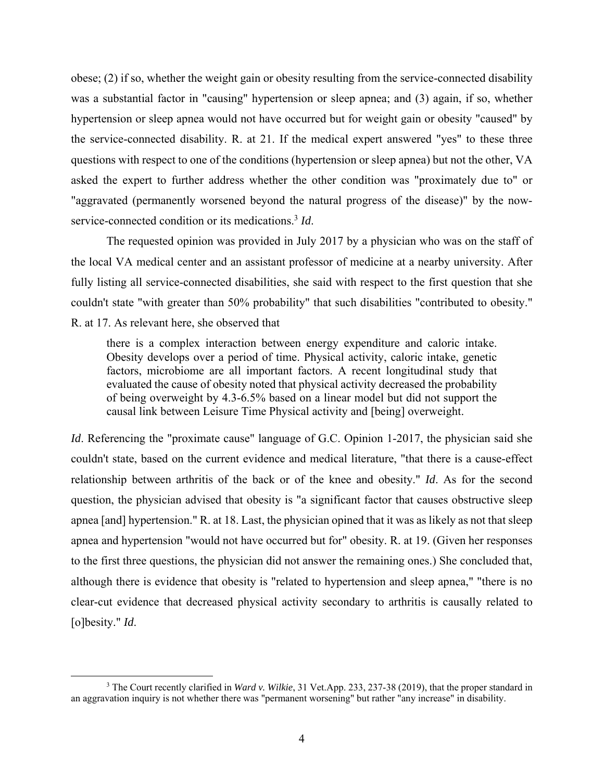obese; (2) if so, whether the weight gain or obesity resulting from the service-connected disability was a substantial factor in "causing" hypertension or sleep apnea; and (3) again, if so, whether hypertension or sleep apnea would not have occurred but for weight gain or obesity "caused" by the service-connected disability. R. at 21. If the medical expert answered "yes" to these three questions with respect to one of the conditions (hypertension or sleep apnea) but not the other, VA asked the expert to further address whether the other condition was "proximately due to" or "aggravated (permanently worsened beyond the natural progress of the disease)" by the nowservice-connected condition or its medications.<sup>3</sup> *Id*.

 The requested opinion was provided in July 2017 by a physician who was on the staff of the local VA medical center and an assistant professor of medicine at a nearby university. After fully listing all service-connected disabilities, she said with respect to the first question that she couldn't state "with greater than 50% probability" that such disabilities "contributed to obesity." R. at 17. As relevant here, she observed that

there is a complex interaction between energy expenditure and caloric intake. Obesity develops over a period of time. Physical activity, caloric intake, genetic factors, microbiome are all important factors. A recent longitudinal study that evaluated the cause of obesity noted that physical activity decreased the probability of being overweight by 4.3-6.5% based on a linear model but did not support the causal link between Leisure Time Physical activity and [being] overweight.

*Id*. Referencing the "proximate cause" language of G.C. Opinion 1-2017, the physician said she couldn't state, based on the current evidence and medical literature, "that there is a cause-effect relationship between arthritis of the back or of the knee and obesity." *Id*. As for the second question, the physician advised that obesity is "a significant factor that causes obstructive sleep apnea [and] hypertension." R. at 18. Last, the physician opined that it was as likely as not that sleep apnea and hypertension "would not have occurred but for" obesity. R. at 19. (Given her responses to the first three questions, the physician did not answer the remaining ones.) She concluded that, although there is evidence that obesity is "related to hypertension and sleep apnea," "there is no clear-cut evidence that decreased physical activity secondary to arthritis is causally related to [o]besity." *Id*.

 <sup>3</sup> <sup>3</sup> The Court recently clarified in *Ward v. Wilkie*, 31 Vet.App. 233, 237-38 (2019), that the proper standard in an aggravation inquiry is not whether there was "permanent worsening" but rather "any increase" in disability.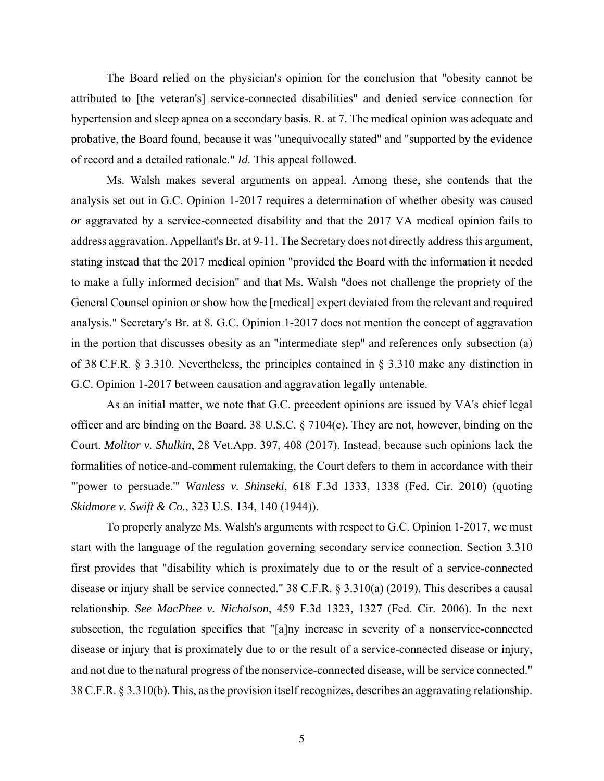The Board relied on the physician's opinion for the conclusion that "obesity cannot be attributed to [the veteran's] service-connected disabilities" and denied service connection for hypertension and sleep apnea on a secondary basis. R. at 7. The medical opinion was adequate and probative, the Board found, because it was "unequivocally stated" and "supported by the evidence of record and a detailed rationale." *Id*. This appeal followed.

 Ms. Walsh makes several arguments on appeal. Among these, she contends that the analysis set out in G.C. Opinion 1-2017 requires a determination of whether obesity was caused *or* aggravated by a service-connected disability and that the 2017 VA medical opinion fails to address aggravation. Appellant's Br. at 9-11. The Secretary does not directly address this argument, stating instead that the 2017 medical opinion "provided the Board with the information it needed to make a fully informed decision" and that Ms. Walsh "does not challenge the propriety of the General Counsel opinion or show how the [medical] expert deviated from the relevant and required analysis." Secretary's Br. at 8. G.C. Opinion 1-2017 does not mention the concept of aggravation in the portion that discusses obesity as an "intermediate step" and references only subsection (a) of 38 C.F.R. § 3.310. Nevertheless, the principles contained in § 3.310 make any distinction in G.C. Opinion 1-2017 between causation and aggravation legally untenable.

As an initial matter, we note that G.C. precedent opinions are issued by VA's chief legal officer and are binding on the Board. 38 U.S.C. § 7104(c). They are not, however, binding on the Court. *Molitor v. Shulkin*, 28 Vet.App. 397, 408 (2017). Instead, because such opinions lack the formalities of notice-and-comment rulemaking, the Court defers to them in accordance with their "'power to persuade.'" *Wanless v. Shinseki*, 618 F.3d 1333, 1338 (Fed. Cir. 2010) (quoting *Skidmore v. Swift & Co.*, 323 U.S. 134, 140 (1944)).

To properly analyze Ms. Walsh's arguments with respect to G.C. Opinion 1-2017, we must start with the language of the regulation governing secondary service connection. Section 3.310 first provides that "disability which is proximately due to or the result of a service-connected disease or injury shall be service connected." 38 C.F.R. § 3.310(a) (2019). This describes a causal relationship. *See MacPhee v. Nicholson*, 459 F.3d 1323, 1327 (Fed. Cir. 2006). In the next subsection, the regulation specifies that "[a]ny increase in severity of a nonservice-connected disease or injury that is proximately due to or the result of a service-connected disease or injury, and not due to the natural progress of the nonservice-connected disease, will be service connected." 38 C.F.R. § 3.310(b). This, as the provision itself recognizes, describes an aggravating relationship.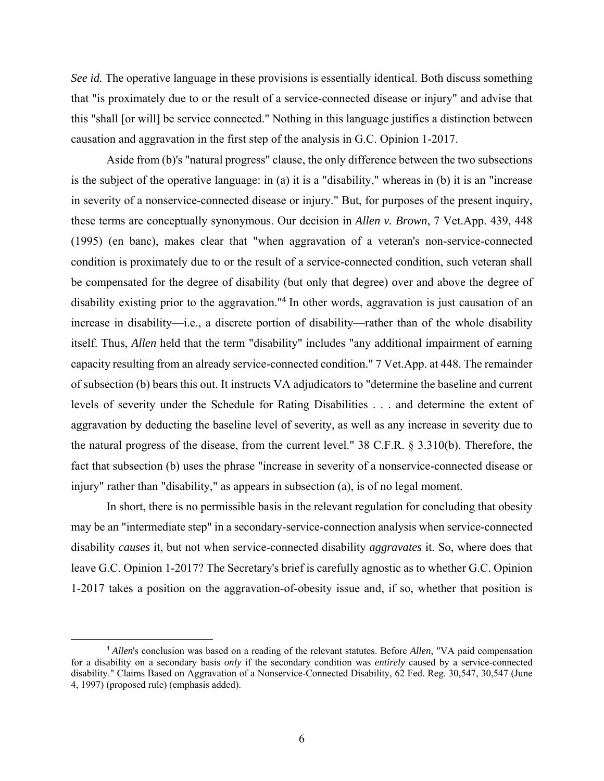*See id.* The operative language in these provisions is essentially identical. Both discuss something that "is proximately due to or the result of a service-connected disease or injury" and advise that this "shall [or will] be service connected." Nothing in this language justifies a distinction between causation and aggravation in the first step of the analysis in G.C. Opinion 1-2017.

 Aside from (b)'s "natural progress" clause, the only difference between the two subsections is the subject of the operative language: in (a) it is a "disability," whereas in (b) it is an "increase in severity of a nonservice-connected disease or injury." But, for purposes of the present inquiry, these terms are conceptually synonymous. Our decision in *Allen v. Brown*, 7 Vet.App. 439, 448 (1995) (en banc), makes clear that "when aggravation of a veteran's non-service-connected condition is proximately due to or the result of a service-connected condition, such veteran shall be compensated for the degree of disability (but only that degree) over and above the degree of disability existing prior to the aggravation."<sup>4</sup> In other words, aggravation is just causation of an increase in disability—i.e., a discrete portion of disability—rather than of the whole disability itself. Thus, *Allen* held that the term "disability" includes "any additional impairment of earning capacity resulting from an already service-connected condition." 7 Vet.App. at 448. The remainder of subsection (b) bears this out. It instructs VA adjudicators to "determine the baseline and current levels of severity under the Schedule for Rating Disabilities . . . and determine the extent of aggravation by deducting the baseline level of severity, as well as any increase in severity due to the natural progress of the disease, from the current level." 38 C.F.R. § 3.310(b). Therefore, the fact that subsection (b) uses the phrase "increase in severity of a nonservice-connected disease or injury" rather than "disability," as appears in subsection (a), is of no legal moment.

 In short, there is no permissible basis in the relevant regulation for concluding that obesity may be an "intermediate step" in a secondary-service-connection analysis when service-connected disability *causes* it, but not when service-connected disability *aggravates* it. So, where does that leave G.C. Opinion 1-2017? The Secretary's brief is carefully agnostic as to whether G.C. Opinion 1-2017 takes a position on the aggravation-of-obesity issue and, if so, whether that position is

 <sup>4</sup> *Allen*'s conclusion was based on a reading of the relevant statutes. Before *Allen*, "VA paid compensation for a disability on a secondary basis *only* if the secondary condition was *entirely* caused by a service-connected disability." Claims Based on Aggravation of a Nonservice-Connected Disability, 62 Fed. Reg. 30,547, 30,547 (June 4, 1997) (proposed rule) (emphasis added).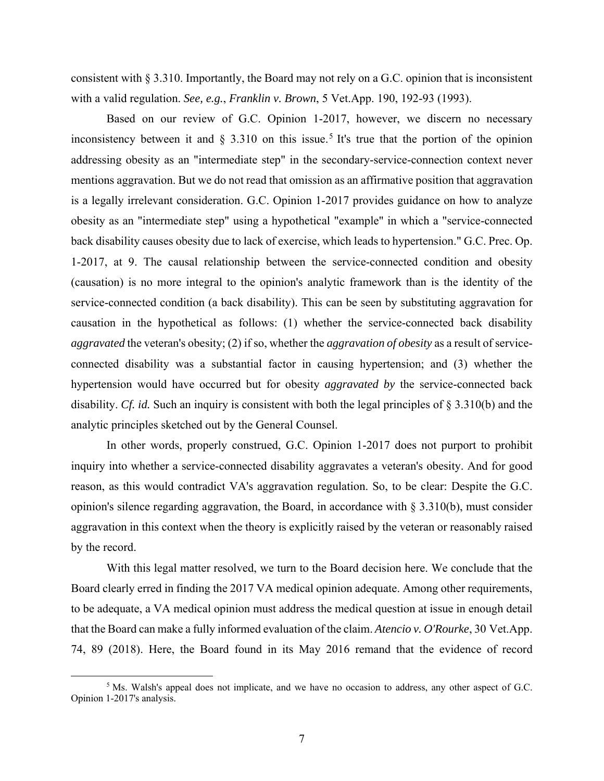consistent with § 3.310. Importantly, the Board may not rely on a G.C. opinion that is inconsistent with a valid regulation. *See, e.g.*, *Franklin v. Brown*, 5 Vet.App. 190, 192-93 (1993).

 Based on our review of G.C. Opinion 1-2017, however, we discern no necessary inconsistency between it and  $\S$  3.310 on this issue.<sup>5</sup> It's true that the portion of the opinion addressing obesity as an "intermediate step" in the secondary-service-connection context never mentions aggravation. But we do not read that omission as an affirmative position that aggravation is a legally irrelevant consideration. G.C. Opinion 1-2017 provides guidance on how to analyze obesity as an "intermediate step" using a hypothetical "example" in which a "service-connected back disability causes obesity due to lack of exercise, which leads to hypertension." G.C. Prec. Op. 1-2017, at 9. The causal relationship between the service-connected condition and obesity (causation) is no more integral to the opinion's analytic framework than is the identity of the service-connected condition (a back disability). This can be seen by substituting aggravation for causation in the hypothetical as follows: (1) whether the service-connected back disability *aggravated* the veteran's obesity; (2) if so, whether the *aggravation of obesity* as a result of serviceconnected disability was a substantial factor in causing hypertension; and (3) whether the hypertension would have occurred but for obesity *aggravated by* the service-connected back disability. *Cf. id.* Such an inquiry is consistent with both the legal principles of § 3.310(b) and the analytic principles sketched out by the General Counsel.

 In other words, properly construed, G.C. Opinion 1-2017 does not purport to prohibit inquiry into whether a service-connected disability aggravates a veteran's obesity. And for good reason, as this would contradict VA's aggravation regulation. So, to be clear: Despite the G.C. opinion's silence regarding aggravation, the Board, in accordance with § 3.310(b), must consider aggravation in this context when the theory is explicitly raised by the veteran or reasonably raised by the record.

 With this legal matter resolved, we turn to the Board decision here. We conclude that the Board clearly erred in finding the 2017 VA medical opinion adequate. Among other requirements, to be adequate, a VA medical opinion must address the medical question at issue in enough detail that the Board can make a fully informed evaluation of the claim. *Atencio v. O'Rourke*, 30 Vet.App. 74, 89 (2018). Here, the Board found in its May 2016 remand that the evidence of record

 $rac{1}{5}$ <sup>5</sup> Ms. Walsh's appeal does not implicate, and we have no occasion to address, any other aspect of G.C. Opinion 1-2017's analysis.